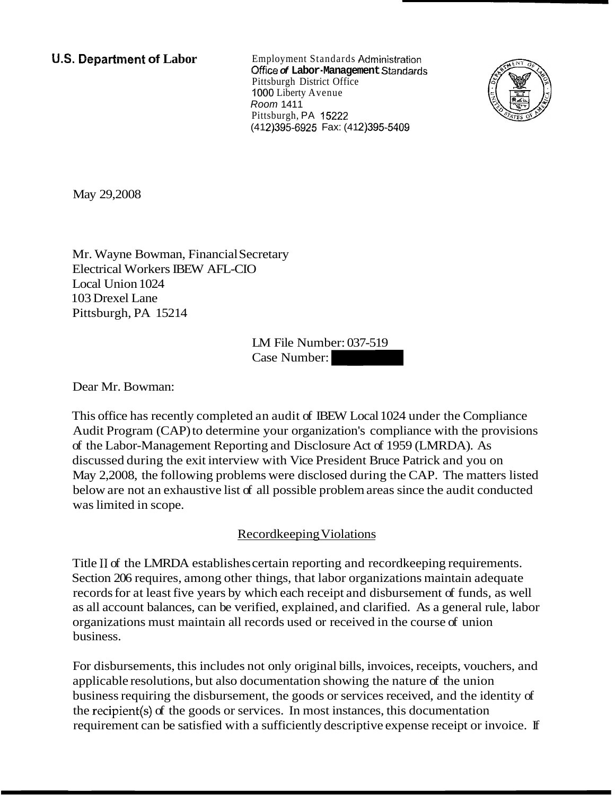**U.S. Department of Labor** Employment Standards Administration Office **of Labor-Management** Standards Pittsburgh District Office 1000 Liberty Avenue Room 141 1 Pittsburgh, PA 15222 (412) 395-6925 Fax: (412) 395-5409



May 29,2008

Mr. Wayne Bowman, Financial Secretary Electrical Workers IBEW AFL-CIO Local Union 1024 103 Drexel Lane Pittsburgh, PA 15214

LM File Number: 037-519 cretary<br>
D<br>
LM File Number: 037-519<br>
Case Number:<br>
L<br>
Case Number:

Dear Mr. Bowman:

This office has recently completed an audit of IBEW Local 1024 under the Compliance Audit Program (CAP) to determine your organization's compliance with the provisions of the Labor-Management Reporting and Disclosure Act of 1959 (LMRDA). As discussed during the exit interview with Vice President Bruce Patrick and you on May 2,2008, the following problems were disclosed during the CAP. The matters listed below are not an exhaustive list of all possible problem areas since the audit conducted was limited in scope.

## Recordkeeping Violations

Title I1 of the LMRDA establishes certain reporting and recordkeeping requirements. Section 206 requires, among other things, that labor organizations maintain adequate records for at least five years by which each receipt and disbursement of funds, as well as all account balances, can be verified, explained, and clarified. As a general rule, labor organizations must maintain all records used or received in the course of union business.

For disbursements, this includes not only original bills, invoices, receipts, vouchers, and applicable resolutions, but also documentation showing the nature of the union business requiring the disbursement, the goods or services received, and the identity of the recipient(s) of the goods or services. In most instances, this documentation requirement can be satisfied with a sufficiently descriptive expense receipt or invoice. If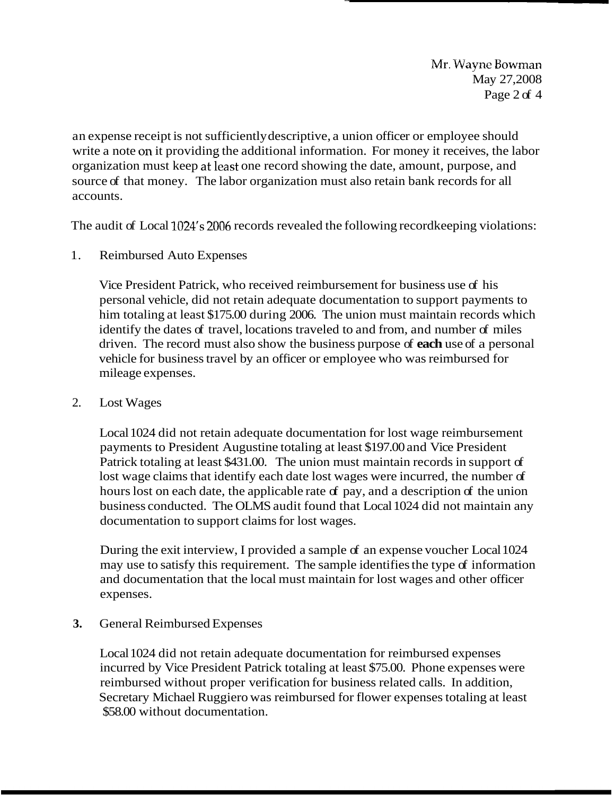Mr. Wayne Bowman May 27,2008 Page 2 of 4

an expense receipt is not sufficiently descriptive, a union officer or employee should write a note on it providing the additional information. For money it receives, the labor organization must keep at least one record showing the date, amount, purpose, and source of that money. The labor organization must also retain bank records for all accounts.

The audit of Local 1024's 2006 records revealed the following recordkeeping violations:

1. Reimbursed Auto Expenses

Vice President Patrick, who received reimbursement for business use of his personal vehicle, did not retain adequate documentation to support payments to him totaling at least \$175.00 during 2006. The union must maintain records which identify the dates of travel, locations traveled to and from, and number of miles driven. The record must also show the business purpose of **each** use of a personal vehicle for business travel by an officer or employee who was reimbursed for mileage expenses.

2. Lost Wages

Local 1024 did not retain adequate documentation for lost wage reimbursement payments to President Augustine totaling at least \$197.00 and Vice President Patrick totaling at least \$431.00. The union must maintain records in support of lost wage claims that identify each date lost wages were incurred, the number of hours lost on each date, the applicable rate of pay, and a description of the union business conducted. The OLMS audit found that Local 1024 did not maintain any documentation to support claims for lost wages.

During the exit interview, I provided a sample of an expense voucher Local 1024 may use to satisfy this requirement. The sample identifies the type of information and documentation that the local must maintain for lost wages and other officer expenses.

**3.** General Reimbursed Expenses

Local 1024 did not retain adequate documentation for reimbursed expenses incurred by Vice President Patrick totaling at least \$75.00. Phone expenses were reimbursed without proper verification for business related calls. In addition, Secretary Michael Ruggiero was reimbursed for flower expenses totaling at least \$58.00 without documentation.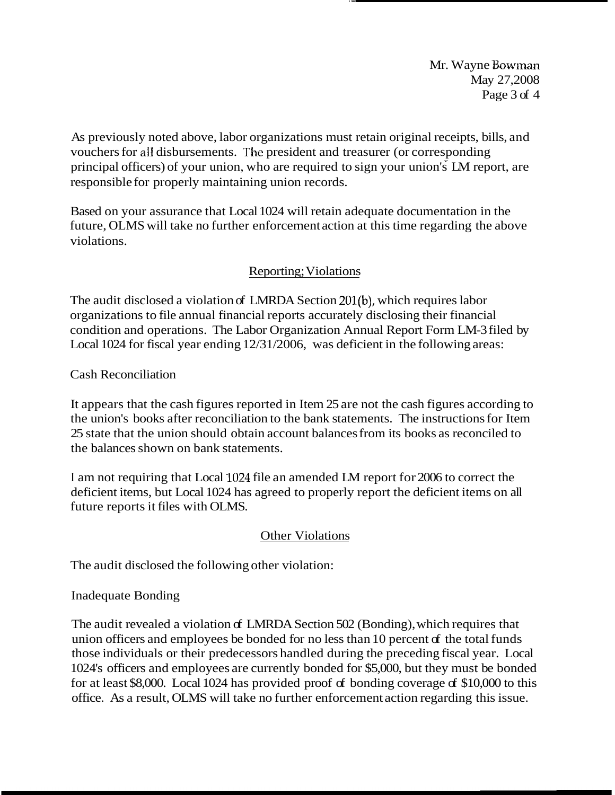Mr. Wayne Bowman May 27,2008 Page 3 of 4

As previously noted above, labor organizations must retain original receipts, bills, and vouchers for all disbursements. The president and treasurer (or corresponding principal officers) of your union, who are required to sign your union's LM report, are responsible for properly maintaining union records.

Based on your assurance that Local 1024 will retain adequate documentation in the future, OLMS will take no further enforcement action at this time regarding the above violations.

## Reporting; Violations

The audit disclosed a violation of LMRDA Section 201(b), which requires labor organizations to file annual financial reports accurately disclosing their financial condition and operations. The Labor Organization Annual Report Form LM-3 filed by Local 1024 for fiscal year ending 12/31/2006, was deficient in the following areas:

Cash Reconciliation

It appears that the cash figures reported in Item 25 are not the cash figures according to the union's books after reconciliation to the bank statements. The instructions for Item 25 state that the union should obtain account balances from its books as reconciled to the balances shown on bank statements.

I am not requiring that Local 1024 file an amended LM report for 2006 to correct the deficient items, but Local 1024 has agreed to properly report the deficient items on all future reports it files with OLMS.

## Other Violations

The audit disclosed the following other violation:

## Inadequate Bonding

The audit revealed a violation of LMRDA Section 502 (Bonding), which requires that union officers and employees be bonded for no less than  $10$  percent of the total funds those individuals or their predecessors handled during the preceding fiscal year. Local 1024's officers and employees are currently bonded for \$5,000, but they must be bonded for at least \$8,000. Local 1024 has provided proof of bonding coverage of \$10,000 to this office. As a result, OLMS will take no further enforcement action regarding this issue.